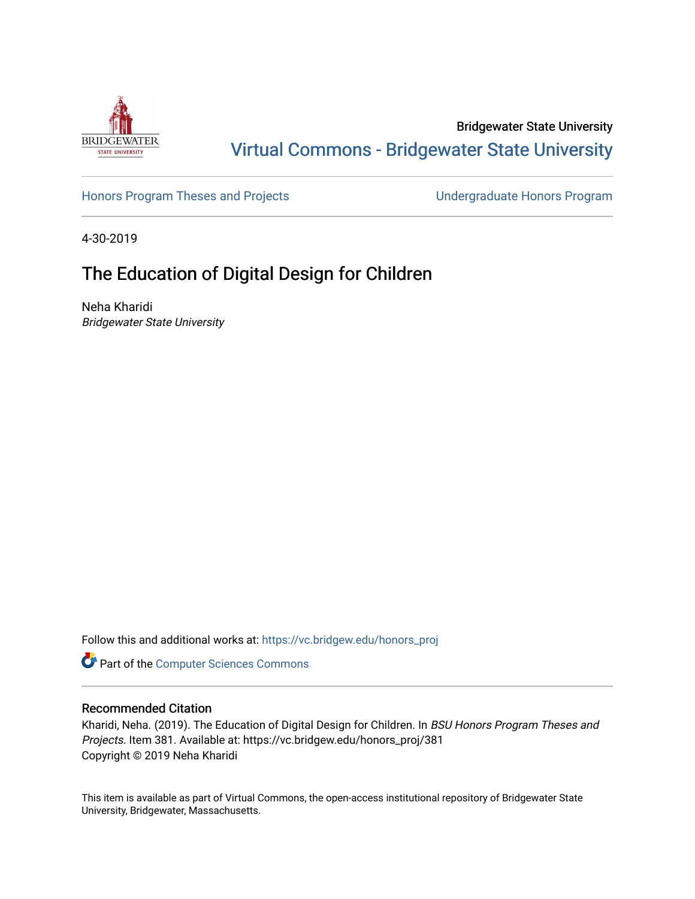

Bridgewater State University [Virtual Commons - Bridgewater State University](https://vc.bridgew.edu/) 

[Honors Program Theses and Projects](https://vc.bridgew.edu/honors_proj) [Undergraduate Honors Program](https://vc.bridgew.edu/honors) 

4-30-2019

# The Education of Digital Design for Children

Neha Kharidi Bridgewater State University

Follow this and additional works at: [https://vc.bridgew.edu/honors\\_proj](https://vc.bridgew.edu/honors_proj?utm_source=vc.bridgew.edu%2Fhonors_proj%2F381&utm_medium=PDF&utm_campaign=PDFCoverPages)

Part of the [Computer Sciences Commons](http://network.bepress.com/hgg/discipline/142?utm_source=vc.bridgew.edu%2Fhonors_proj%2F381&utm_medium=PDF&utm_campaign=PDFCoverPages)

#### Recommended Citation

Kharidi, Neha. (2019). The Education of Digital Design for Children. In BSU Honors Program Theses and Projects. Item 381. Available at: https://vc.bridgew.edu/honors\_proj/381 Copyright © 2019 Neha Kharidi

This item is available as part of Virtual Commons, the open-access institutional repository of Bridgewater State University, Bridgewater, Massachusetts.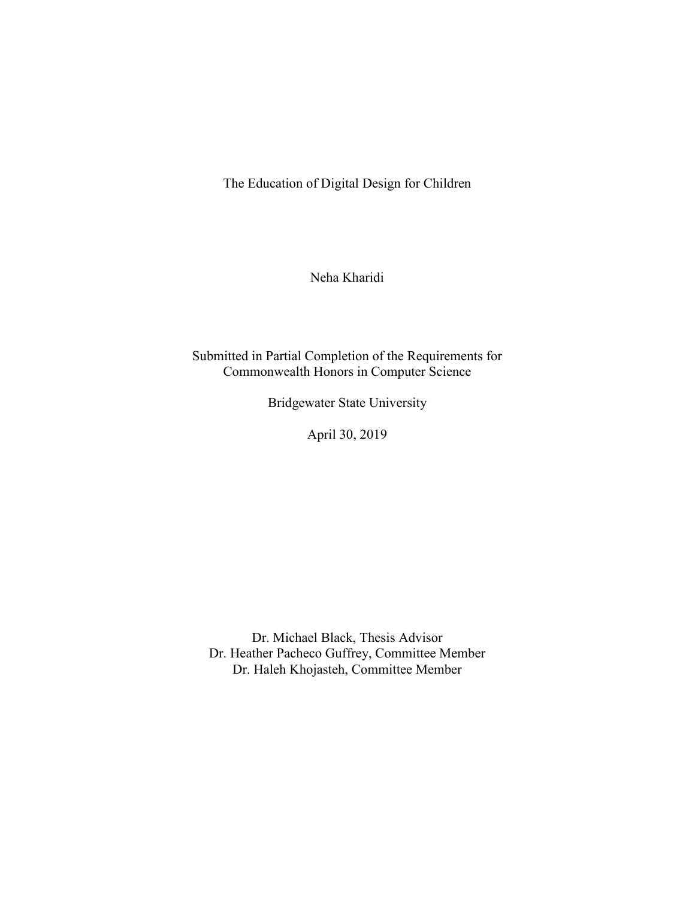The Education of Digital Design for Children

Neha Kharidi

Submitted in Partial Completion of the Requirements for Commonwealth Honors in Computer Science

Bridgewater State University

April 30, 2019

Dr. Michael Black, Thesis Advisor Dr. Heather Pacheco Guffrey, Committee Member Dr. Haleh Khojasteh, Committee Member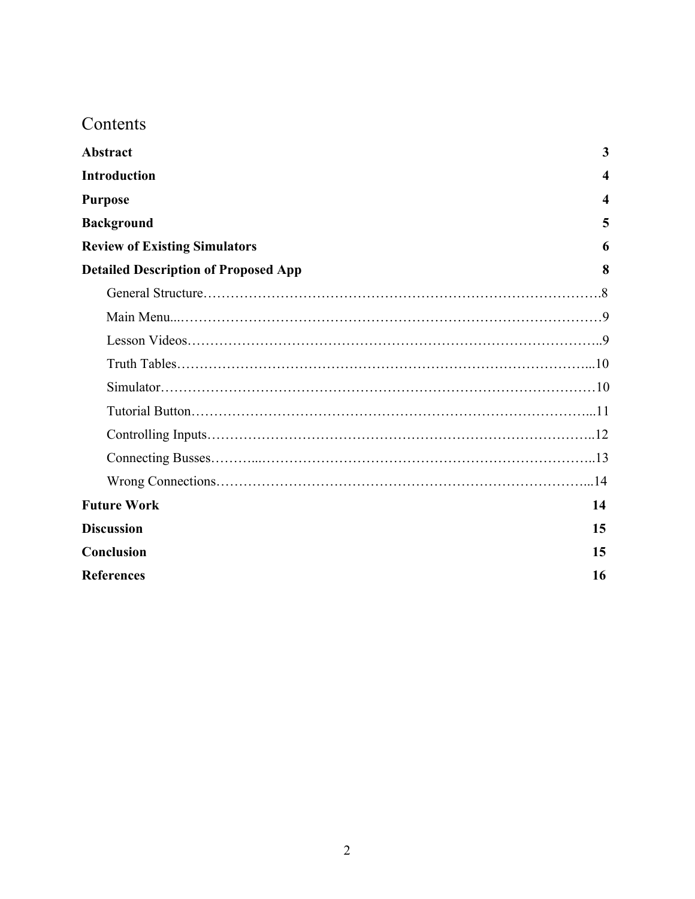# Contents

| <b>Abstract</b>                             | 3  |
|---------------------------------------------|----|
| <b>Introduction</b>                         | 4  |
| <b>Purpose</b>                              | 4  |
| <b>Background</b>                           | 5  |
| <b>Review of Existing Simulators</b>        | 6  |
| <b>Detailed Description of Proposed App</b> | 8  |
|                                             |    |
|                                             |    |
|                                             |    |
|                                             |    |
|                                             |    |
|                                             |    |
|                                             |    |
|                                             |    |
|                                             |    |
| <b>Future Work</b>                          | 14 |
| <b>Discussion</b>                           | 15 |
| Conclusion                                  | 15 |
| <b>References</b>                           | 16 |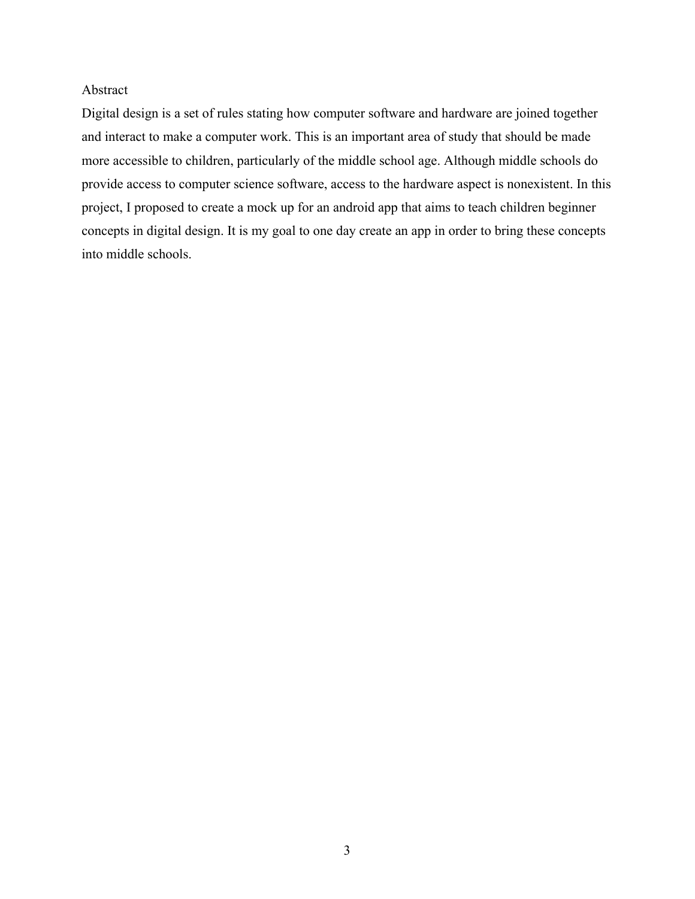### Abstract

Digital design is a set of rules stating how computer software and hardware are joined together and interact to make a computer work. This is an important area of study that should be made more accessible to children, particularly of the middle school age. Although middle schools do provide access to computer science software, access to the hardware aspect is nonexistent. In this project, I proposed to create a mock up for an android app that aims to teach children beginner concepts in digital design. It is my goal to one day create an app in order to bring these concepts into middle schools.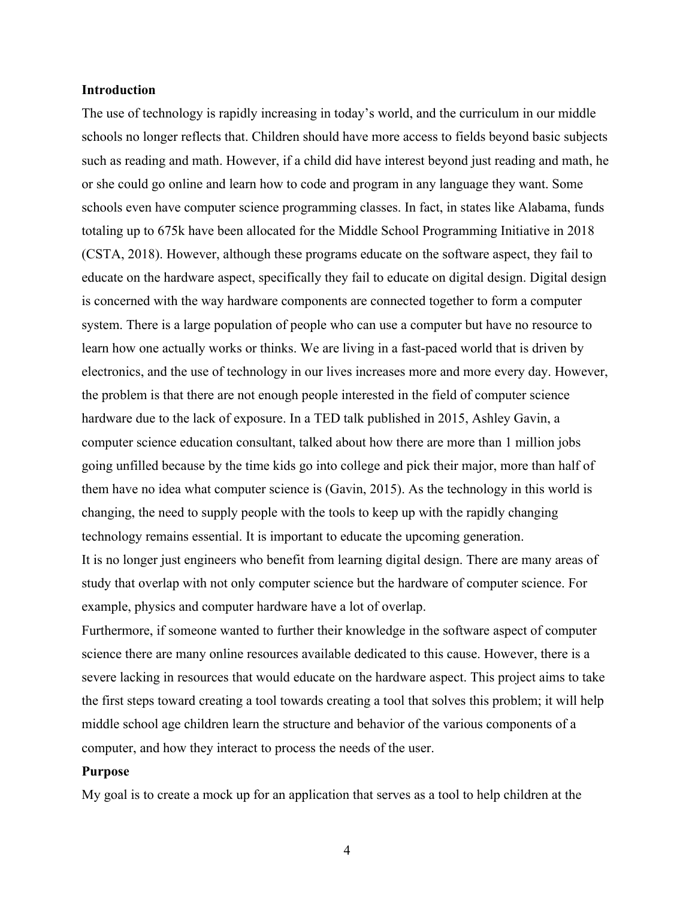#### **Introduction**

The use of technology is rapidly increasing in today's world, and the curriculum in our middle schools no longer reflects that. Children should have more access to fields beyond basic subjects such as reading and math. However, if a child did have interest beyond just reading and math, he or she could go online and learn how to code and program in any language they want. Some schools even have computer science programming classes. In fact, in states like Alabama, funds totaling up to 675k have been allocated for the Middle School Programming Initiative in 2018 (CSTA, 2018). However, although these programs educate on the software aspect, they fail to educate on the hardware aspect, specifically they fail to educate on digital design. Digital design is concerned with the way hardware components are connected together to form a computer system. There is a large population of people who can use a computer but have no resource to learn how one actually works or thinks. We are living in a fast-paced world that is driven by electronics, and the use of technology in our lives increases more and more every day. However, the problem is that there are not enough people interested in the field of computer science hardware due to the lack of exposure. In a TED talk published in 2015, Ashley Gavin, a computer science education consultant, talked about how there are more than 1 million jobs going unfilled because by the time kids go into college and pick their major, more than half of them have no idea what computer science is (Gavin, 2015). As the technology in this world is changing, the need to supply people with the tools to keep up with the rapidly changing technology remains essential. It is important to educate the upcoming generation. It is no longer just engineers who benefit from learning digital design. There are many areas of study that overlap with not only computer science but the hardware of computer science. For example, physics and computer hardware have a lot of overlap.

Furthermore, if someone wanted to further their knowledge in the software aspect of computer science there are many online resources available dedicated to this cause. However, there is a severe lacking in resources that would educate on the hardware aspect. This project aims to take the first steps toward creating a tool towards creating a tool that solves this problem; it will help middle school age children learn the structure and behavior of the various components of a computer, and how they interact to process the needs of the user.

## **Purpose**

My goal is to create a mock up for an application that serves as a tool to help children at the

4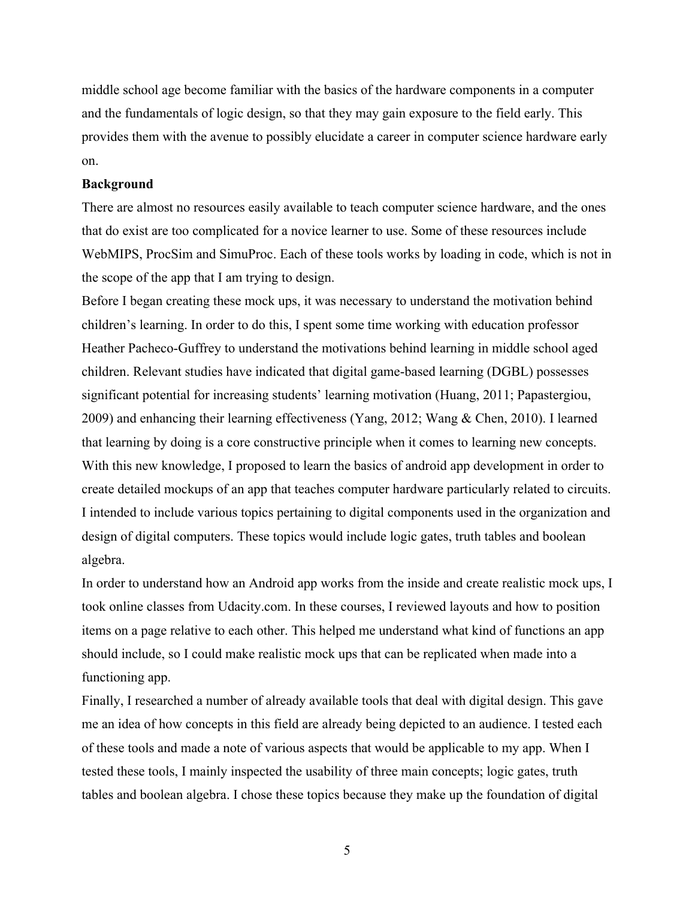middle school age become familiar with the basics of the hardware components in a computer and the fundamentals of logic design, so that they may gain exposure to the field early. This provides them with the avenue to possibly elucidate a career in computer science hardware early on.

#### **Background**

There are almost no resources easily available to teach computer science hardware, and the ones that do exist are too complicated for a novice learner to use. Some of these resources include WebMIPS, ProcSim and SimuProc. Each of these tools works by loading in code, which is not in the scope of the app that I am trying to design.

Before I began creating these mock ups, it was necessary to understand the motivation behind children's learning. In order to do this, I spent some time working with education professor Heather Pacheco-Guffrey to understand the motivations behind learning in middle school aged children. Relevant studies have indicated that digital game-based learning (DGBL) possesses significant potential for increasing students' learning motivation (Huang, 2011; Papastergiou, 2009) and enhancing their learning effectiveness (Yang, 2012; Wang & Chen, 2010). I learned that learning by doing is a core constructive principle when it comes to learning new concepts. With this new knowledge, I proposed to learn the basics of android app development in order to create detailed mockups of an app that teaches computer hardware particularly related to circuits. I intended to include various topics pertaining to digital components used in the organization and design of digital computers. These topics would include logic gates, truth tables and boolean algebra.

In order to understand how an Android app works from the inside and create realistic mock ups, I took online classes from Udacity.com. In these courses, I reviewed layouts and how to position items on a page relative to each other. This helped me understand what kind of functions an app should include, so I could make realistic mock ups that can be replicated when made into a functioning app.

Finally, I researched a number of already available tools that deal with digital design. This gave me an idea of how concepts in this field are already being depicted to an audience. I tested each of these tools and made a note of various aspects that would be applicable to my app. When I tested these tools, I mainly inspected the usability of three main concepts; logic gates, truth tables and boolean algebra. I chose these topics because they make up the foundation of digital

5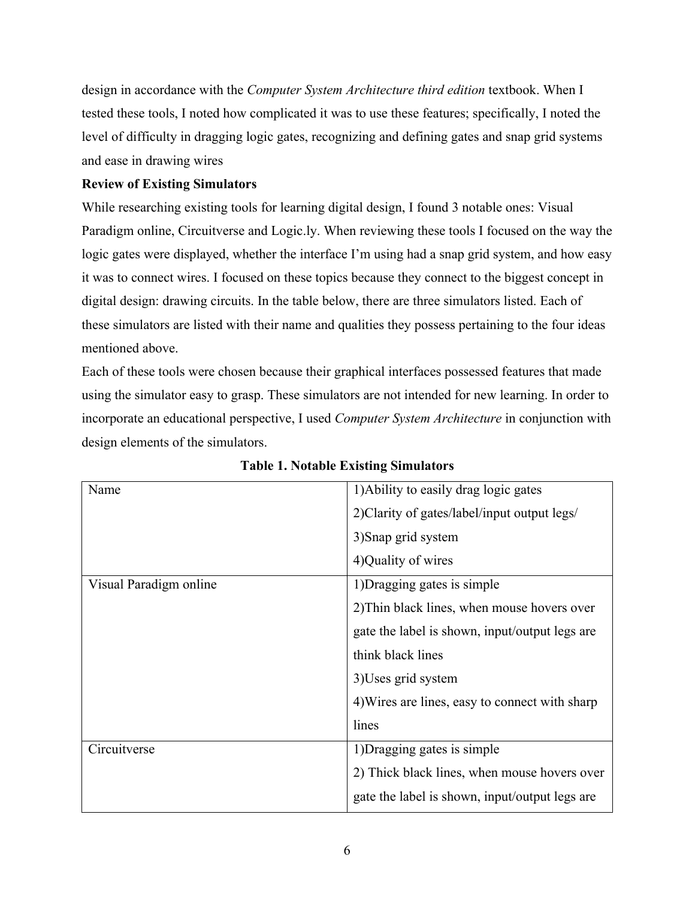design in accordance with the *Computer System Architecture third edition* textbook. When I tested these tools, I noted how complicated it was to use these features; specifically, I noted the level of difficulty in dragging logic gates, recognizing and defining gates and snap grid systems and ease in drawing wires

# **Review of Existing Simulators**

While researching existing tools for learning digital design, I found 3 notable ones: Visual Paradigm online, Circuitverse and Logic.ly. When reviewing these tools I focused on the way the logic gates were displayed, whether the interface I'm using had a snap grid system, and how easy it was to connect wires. I focused on these topics because they connect to the biggest concept in digital design: drawing circuits. In the table below, there are three simulators listed. Each of these simulators are listed with their name and qualities they possess pertaining to the four ideas mentioned above.

Each of these tools were chosen because their graphical interfaces possessed features that made using the simulator easy to grasp. These simulators are not intended for new learning. In order to incorporate an educational perspective, I used *Computer System Architecture* in conjunction with design elements of the simulators.

| Name                   | 1) Ability to easily drag logic gates          |
|------------------------|------------------------------------------------|
|                        | 2) Clarity of gates/label/input output legs/   |
|                        | 3) Snap grid system                            |
|                        | 4) Quality of wires                            |
| Visual Paradigm online | 1) Dragging gates is simple                    |
|                        | 2) Thin black lines, when mouse hovers over    |
|                        | gate the label is shown, input/output legs are |
|                        | think black lines                              |
|                        | 3) Uses grid system                            |
|                        | 4) Wires are lines, easy to connect with sharp |
|                        | lines                                          |
| Circuitverse           | 1) Dragging gates is simple                    |
|                        | 2) Thick black lines, when mouse hovers over   |
|                        | gate the label is shown, input/output legs are |

**Table 1. Notable Existing Simulators**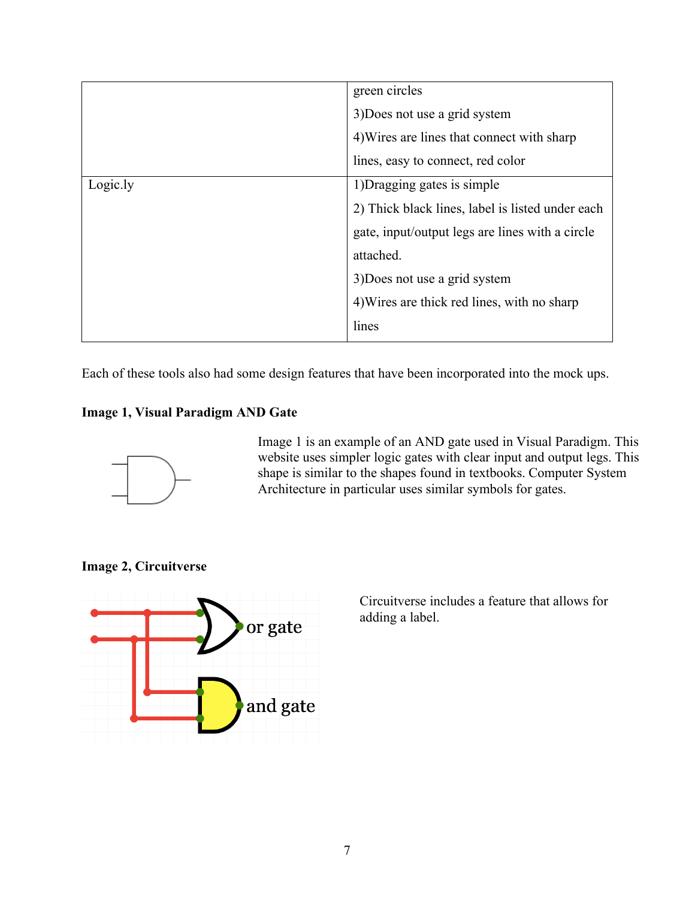|          | green circles                                    |
|----------|--------------------------------------------------|
|          | 3) Does not use a grid system                    |
|          | 4) Wires are lines that connect with sharp       |
|          | lines, easy to connect, red color                |
| Logic.ly | 1) Dragging gates is simple                      |
|          | 2) Thick black lines, label is listed under each |
|          | gate, input/output legs are lines with a circle  |
|          | attached.                                        |
|          | 3) Does not use a grid system                    |
|          | 4) Wires are thick red lines, with no sharp      |
|          | lines                                            |

Each of these tools also had some design features that have been incorporated into the mock ups.

# **Image 1, Visual Paradigm AND Gate**



Image 1 is an example of an AND gate used in Visual Paradigm. This website uses simpler logic gates with clear input and output legs. This shape is similar to the shapes found in textbooks. Computer System Architecture in particular uses similar symbols for gates.

**Image 2, Circuitverse** 



Circuitverse includes a feature that allows for adding a label.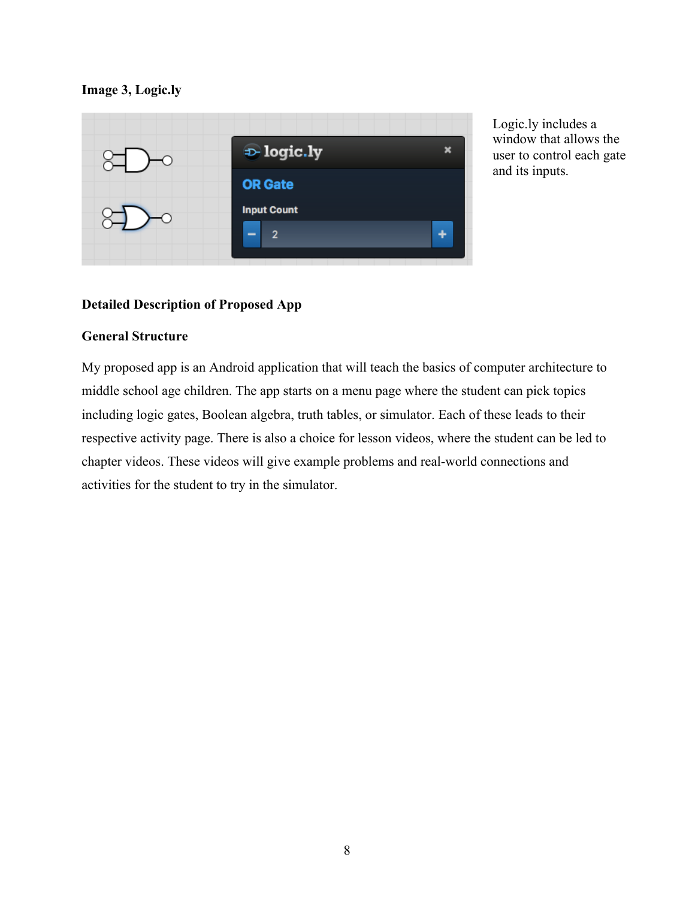## **Image 3, Logic.ly**



Logic.ly includes a window that allows the user to control each gate and its inputs.

## **Detailed Description of Proposed App**

## **General Structure**

My proposed app is an Android application that will teach the basics of computer architecture to middle school age children. The app starts on a menu page where the student can pick topics including logic gates, Boolean algebra, truth tables, or simulator. Each of these leads to their respective activity page. There is also a choice for lesson videos, where the student can be led to chapter videos. These videos will give example problems and real-world connections and activities for the student to try in the simulator.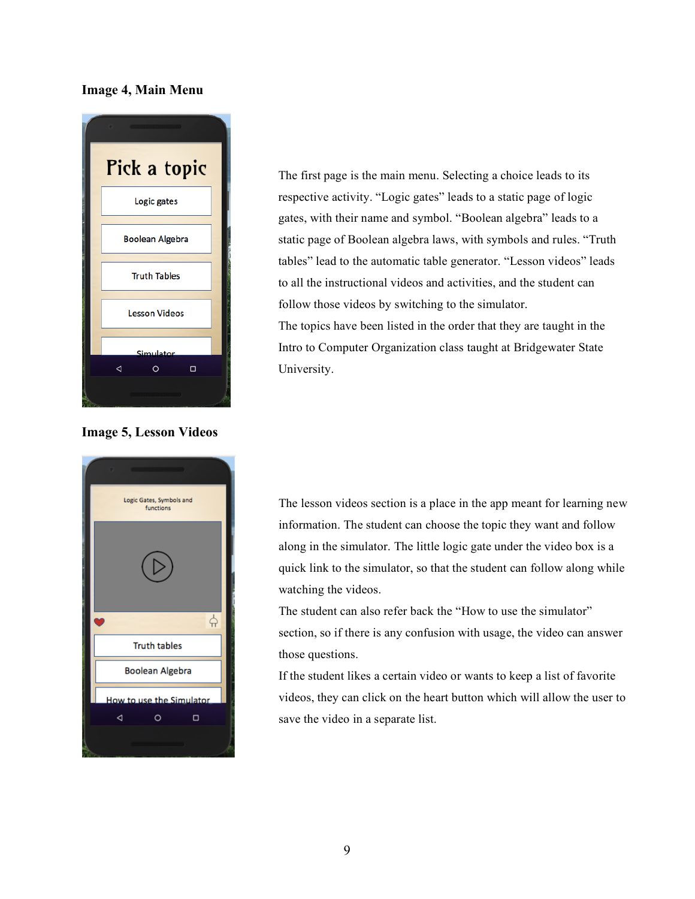#### **Image 4, Main Menu**



**Image 5, Lesson Videos**



The first page is the main menu. Selecting a choice leads to its respective activity. "Logic gates" leads to a static page of logic gates, with their name and symbol. "Boolean algebra" leads to a static page of Boolean algebra laws, with symbols and rules. "Truth tables" lead to the automatic table generator. "Lesson videos" leads to all the instructional videos and activities, and the student can follow those videos by switching to the simulator. The topics have been listed in the order that they are taught in the Intro to Computer Organization class taught at Bridgewater State University.

The lesson videos section is a place in the app meant for learning new information. The student can choose the topic they want and follow along in the simulator. The little logic gate under the video box is a quick link to the simulator, so that the student can follow along while watching the videos.

The student can also refer back the "How to use the simulator" section, so if there is any confusion with usage, the video can answer those questions.

If the student likes a certain video or wants to keep a list of favorite videos, they can click on the heart button which will allow the user to save the video in a separate list.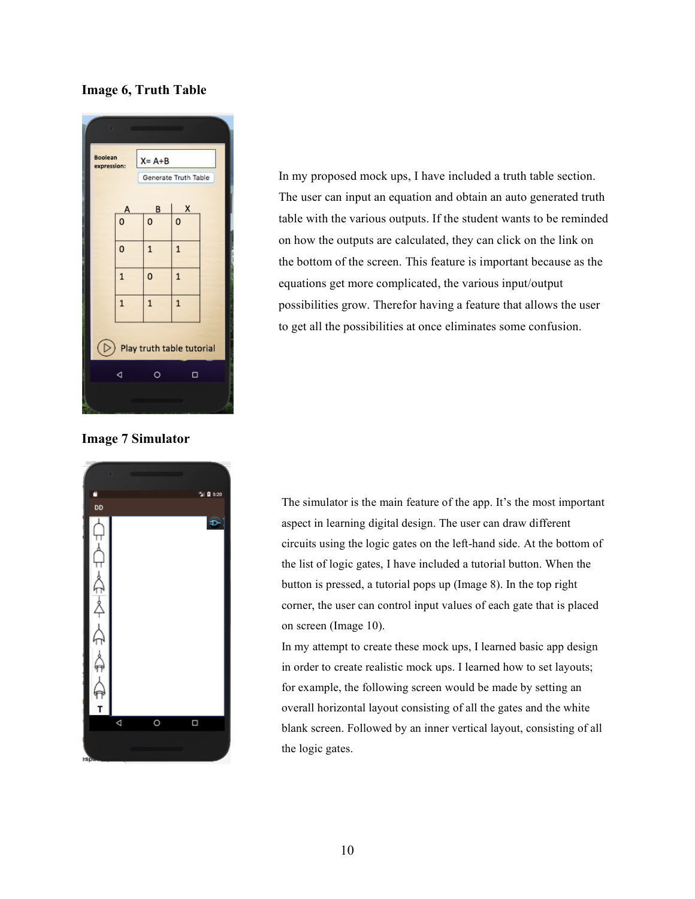#### **Image 6, Truth Table**



**Image 7 Simulator**



In my proposed mock ups, I have included a truth table section. The user can input an equation and obtain an auto generated truth table with the various outputs. If the student wants to be reminded on how the outputs are calculated, they can click on the link on the bottom of the screen. This feature is important because as the equations get more complicated, the various input/output possibilities grow. Therefor having a feature that allows the user to get all the possibilities at once eliminates some confusion.

The simulator is the main feature of the app. It's the most important aspect in learning digital design. The user can draw different circuits using the logic gates on the left-hand side. At the bottom of the list of logic gates, I have included a tutorial button. When the button is pressed, a tutorial pops up (Image 8). In the top right corner, the user can control input values of each gate that is placed on screen (Image 10).

In my attempt to create these mock ups, I learned basic app design in order to create realistic mock ups. I learned how to set layouts; for example, the following screen would be made by setting an overall horizontal layout consisting of all the gates and the white blank screen. Followed by an inner vertical layout, consisting of all the logic gates.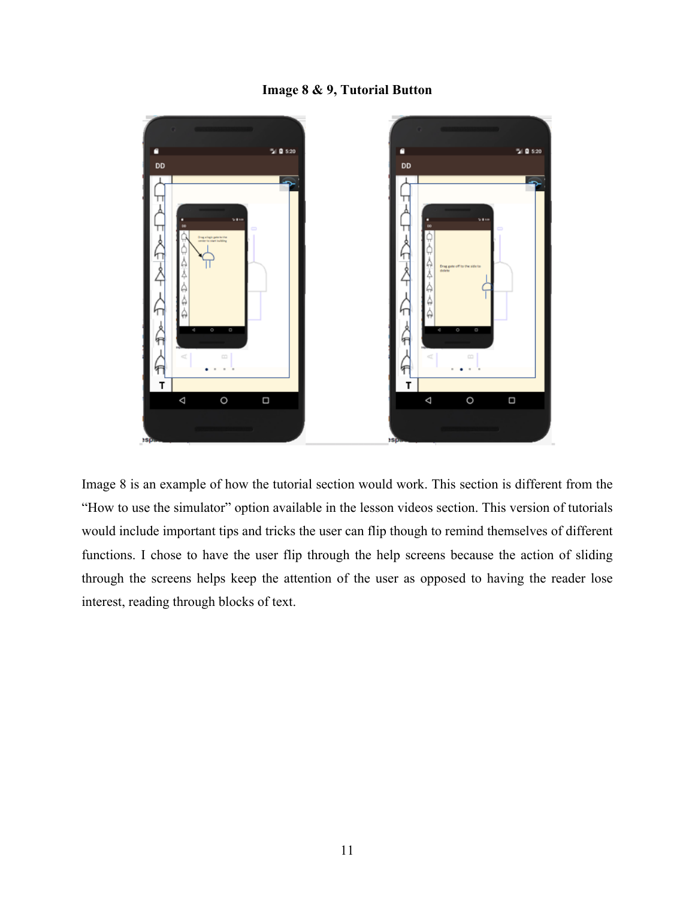# **Image 8 & 9, Tutorial Button**



Image 8 is an example of how the tutorial section would work. This section is different from the "How to use the simulator" option available in the lesson videos section. This version of tutorials would include important tips and tricks the user can flip though to remind themselves of different functions. I chose to have the user flip through the help screens because the action of sliding through the screens helps keep the attention of the user as opposed to having the reader lose interest, reading through blocks of text.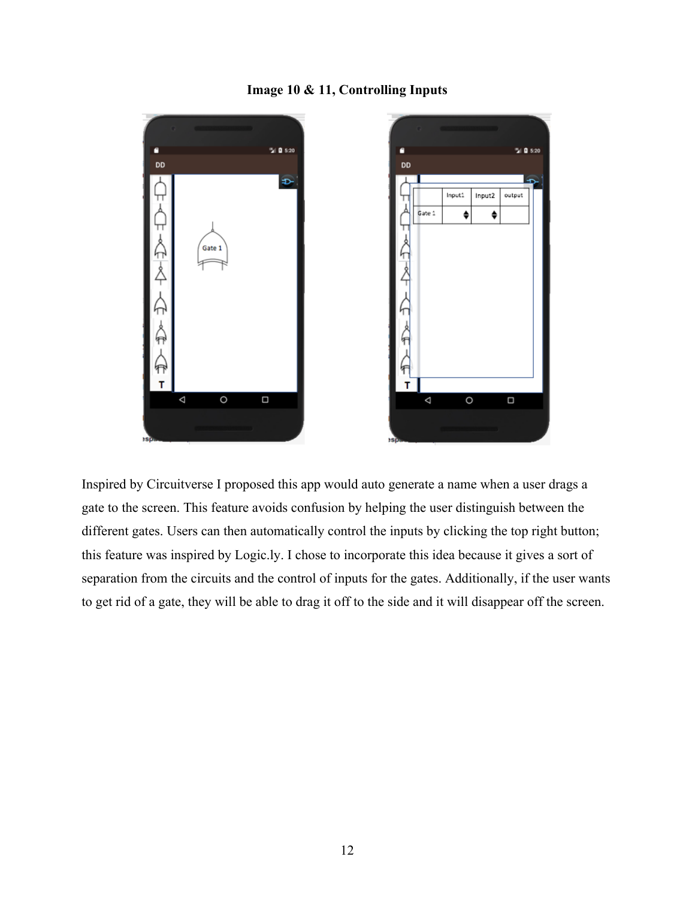## **Image 10 & 11, Controlling Inputs**



Inspired by Circuitverse I proposed this app would auto generate a name when a user drags a gate to the screen. This feature avoids confusion by helping the user distinguish between the different gates. Users can then automatically control the inputs by clicking the top right button; this feature was inspired by Logic.ly. I chose to incorporate this idea because it gives a sort of separation from the circuits and the control of inputs for the gates. Additionally, if the user wants to get rid of a gate, they will be able to drag it off to the side and it will disappear off the screen.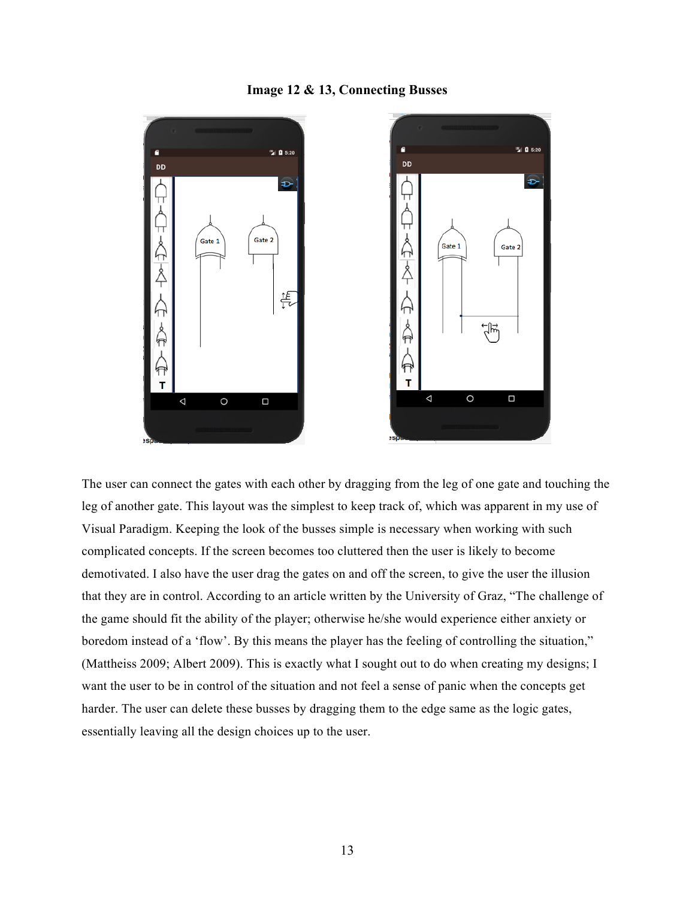#### **Image 12 & 13, Connecting Busses**



The user can connect the gates with each other by dragging from the leg of one gate and touching the leg of another gate. This layout was the simplest to keep track of, which was apparent in my use of Visual Paradigm. Keeping the look of the busses simple is necessary when working with such complicated concepts. If the screen becomes too cluttered then the user is likely to become demotivated. I also have the user drag the gates on and off the screen, to give the user the illusion that they are in control. According to an article written by the University of Graz, "The challenge of the game should fit the ability of the player; otherwise he/she would experience either anxiety or boredom instead of a 'flow'. By this means the player has the feeling of controlling the situation," (Mattheiss 2009; Albert 2009). This is exactly what I sought out to do when creating my designs; I want the user to be in control of the situation and not feel a sense of panic when the concepts get harder. The user can delete these busses by dragging them to the edge same as the logic gates, essentially leaving all the design choices up to the user.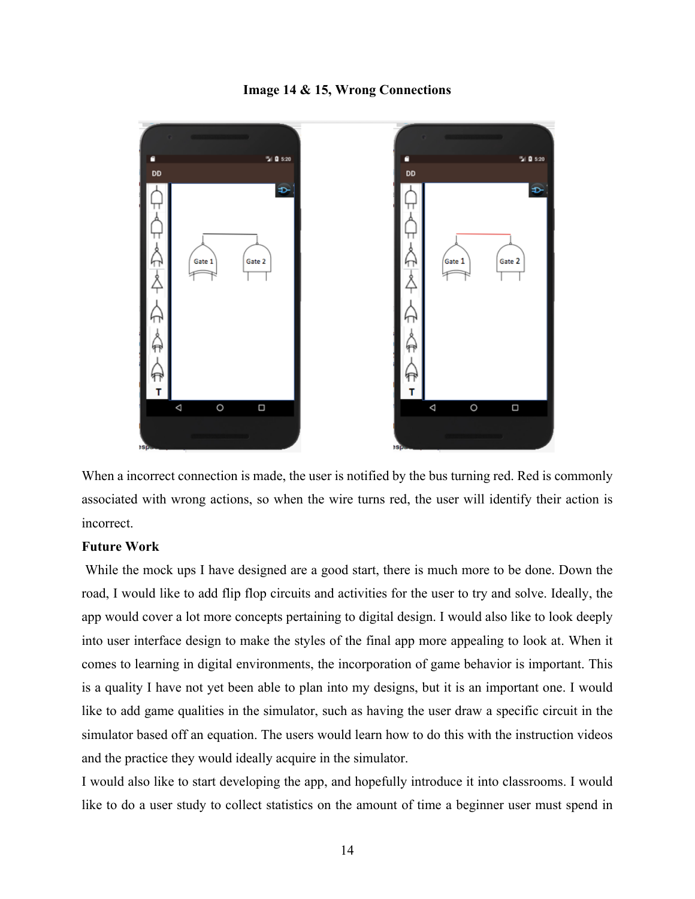#### **Image 14 & 15, Wrong Connections**



When a incorrect connection is made, the user is notified by the bus turning red. Red is commonly associated with wrong actions, so when the wire turns red, the user will identify their action is incorrect.

#### **Future Work**

While the mock ups I have designed are a good start, there is much more to be done. Down the road, I would like to add flip flop circuits and activities for the user to try and solve. Ideally, the app would cover a lot more concepts pertaining to digital design. I would also like to look deeply into user interface design to make the styles of the final app more appealing to look at. When it comes to learning in digital environments, the incorporation of game behavior is important. This is a quality I have not yet been able to plan into my designs, but it is an important one. I would like to add game qualities in the simulator, such as having the user draw a specific circuit in the simulator based off an equation. The users would learn how to do this with the instruction videos and the practice they would ideally acquire in the simulator.

I would also like to start developing the app, and hopefully introduce it into classrooms. I would like to do a user study to collect statistics on the amount of time a beginner user must spend in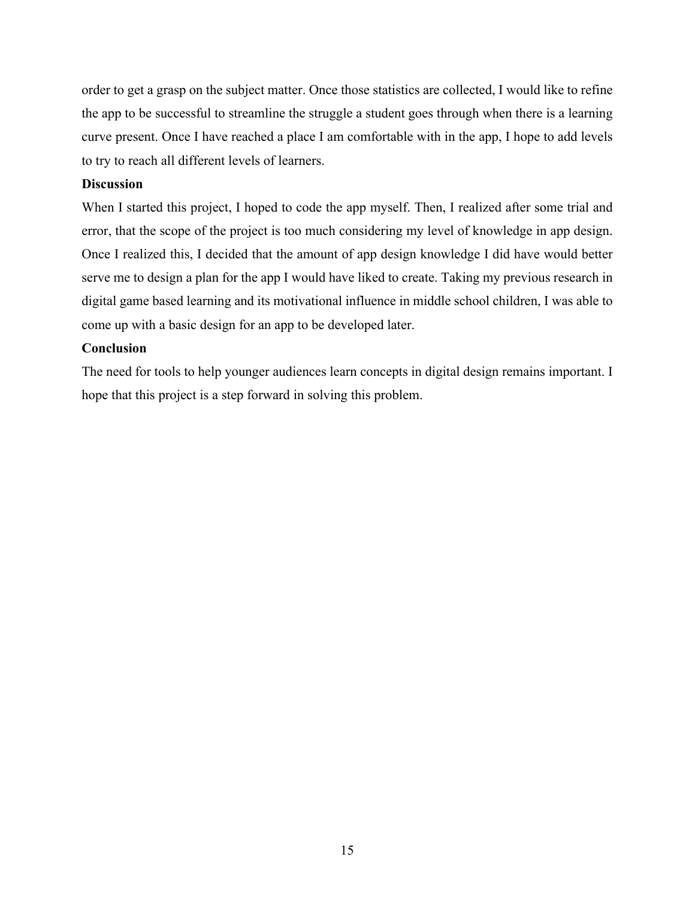order to get a grasp on the subject matter. Once those statistics are collected, I would like to refine the app to be successful to streamline the struggle a student goes through when there is a learning curve present. Once I have reached a place I am comfortable with in the app, I hope to add levels to try to reach all different levels of learners.

## **Discussion**

When I started this project, I hoped to code the app myself. Then, I realized after some trial and error, that the scope of the project is too much considering my level of knowledge in app design. Once I realized this, I decided that the amount of app design knowledge I did have would better serve me to design a plan for the app I would have liked to create. Taking my previous research in digital game based learning and its motivational influence in middle school children, I was able to come up with a basic design for an app to be developed later.

## **Conclusion**

The need for tools to help younger audiences learn concepts in digital design remains important. I hope that this project is a step forward in solving this problem.